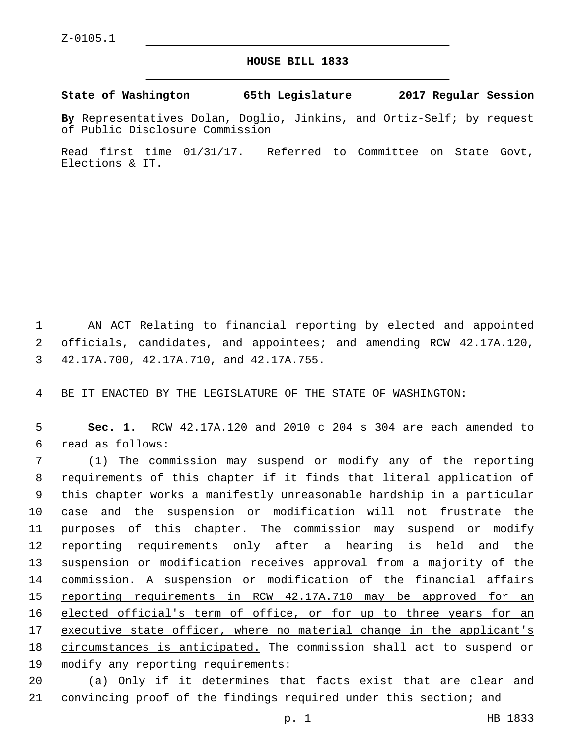## **HOUSE BILL 1833**

**State of Washington 65th Legislature 2017 Regular Session**

**By** Representatives Dolan, Doglio, Jinkins, and Ortiz-Self; by request of Public Disclosure Commission

Read first time 01/31/17. Referred to Committee on State Govt, Elections & IT.

1 AN ACT Relating to financial reporting by elected and appointed 2 officials, candidates, and appointees; and amending RCW 42.17A.120, 42.17A.700, 42.17A.710, and 42.17A.755.3

4 BE IT ENACTED BY THE LEGISLATURE OF THE STATE OF WASHINGTON:

5 **Sec. 1.** RCW 42.17A.120 and 2010 c 204 s 304 are each amended to read as follows:6

 (1) The commission may suspend or modify any of the reporting requirements of this chapter if it finds that literal application of this chapter works a manifestly unreasonable hardship in a particular case and the suspension or modification will not frustrate the purposes of this chapter. The commission may suspend or modify reporting requirements only after a hearing is held and the suspension or modification receives approval from a majority of the commission. A suspension or modification of the financial affairs reporting requirements in RCW 42.17A.710 may be approved for an 16 elected official's term of office, or for up to three years for an 17 executive state officer, where no material change in the applicant's circumstances is anticipated. The commission shall act to suspend or 19 modify any reporting requirements:

20 (a) Only if it determines that facts exist that are clear and 21 convincing proof of the findings required under this section; and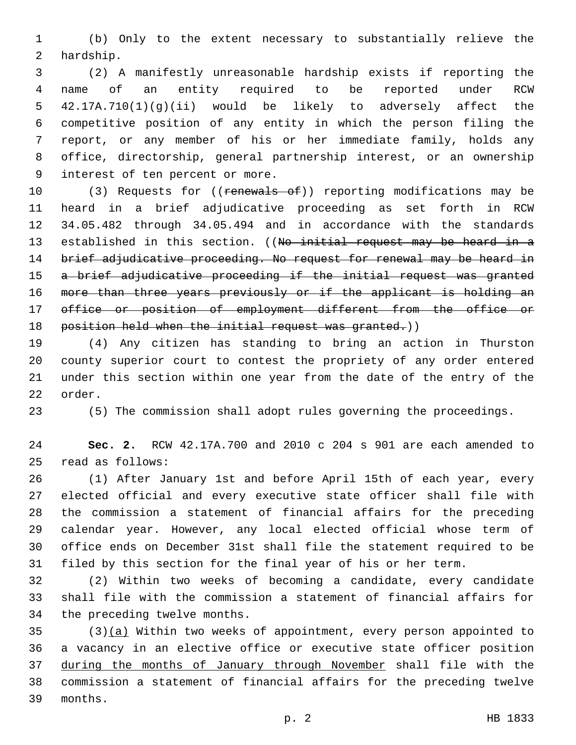(b) Only to the extent necessary to substantially relieve the 2 hardship.

 (2) A manifestly unreasonable hardship exists if reporting the name of an entity required to be reported under RCW 42.17A.710(1)(g)(ii) would be likely to adversely affect the competitive position of any entity in which the person filing the report, or any member of his or her immediate family, holds any office, directorship, general partnership interest, or an ownership 9 interest of ten percent or more.

10 (3) Requests for ((renewals of)) reporting modifications may be heard in a brief adjudicative proceeding as set forth in RCW 34.05.482 through 34.05.494 and in accordance with the standards 13 established in this section. ((No initial request may be heard in a 14 brief adjudicative proceeding. No request for renewal may be heard in 15 a brief adjudicative proceeding if the initial request was granted more than three years previously or if the applicant is holding an office or position of employment different from the office or 18 position held when the initial request was granted.))

 (4) Any citizen has standing to bring an action in Thurston county superior court to contest the propriety of any order entered under this section within one year from the date of the entry of the 22 order.

(5) The commission shall adopt rules governing the proceedings.

 **Sec. 2.** RCW 42.17A.700 and 2010 c 204 s 901 are each amended to read as follows:25

 (1) After January 1st and before April 15th of each year, every elected official and every executive state officer shall file with the commission a statement of financial affairs for the preceding calendar year. However, any local elected official whose term of office ends on December 31st shall file the statement required to be filed by this section for the final year of his or her term.

 (2) Within two weeks of becoming a candidate, every candidate shall file with the commission a statement of financial affairs for 34 the preceding twelve months.

 (3)(a) Within two weeks of appointment, every person appointed to a vacancy in an elective office or executive state officer position 37 during the months of January through November shall file with the commission a statement of financial affairs for the preceding twelve 39 months.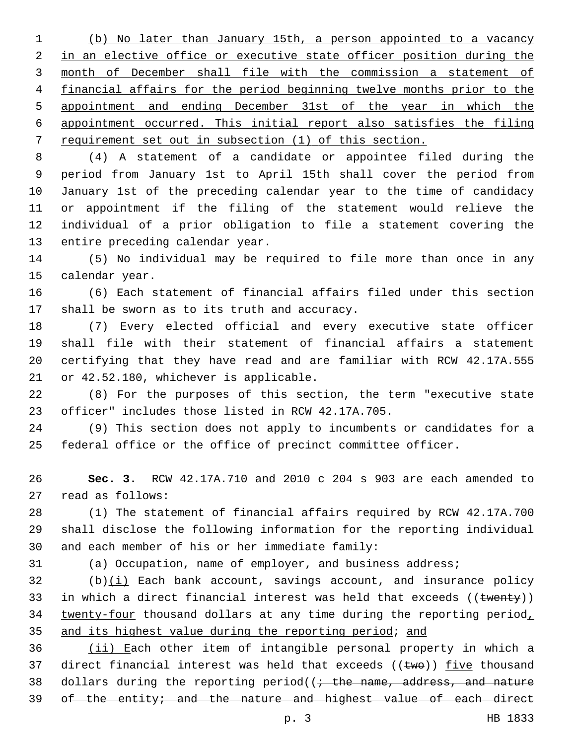(b) No later than January 15th, a person appointed to a vacancy 2 in an elective office or executive state officer position during the month of December shall file with the commission a statement of financial affairs for the period beginning twelve months prior to the appointment and ending December 31st of the year in which the appointment occurred. This initial report also satisfies the filing requirement set out in subsection (1) of this section.

 (4) A statement of a candidate or appointee filed during the period from January 1st to April 15th shall cover the period from January 1st of the preceding calendar year to the time of candidacy or appointment if the filing of the statement would relieve the individual of a prior obligation to file a statement covering the 13 entire preceding calendar year.

 (5) No individual may be required to file more than once in any 15 calendar year.

 (6) Each statement of financial affairs filed under this section 17 shall be sworn as to its truth and accuracy.

 (7) Every elected official and every executive state officer shall file with their statement of financial affairs a statement certifying that they have read and are familiar with RCW 42.17A.555 21 or 42.52.180, whichever is applicable.

 (8) For the purposes of this section, the term "executive state 23 officer" includes those listed in RCW 42.17A.705.

 (9) This section does not apply to incumbents or candidates for a federal office or the office of precinct committee officer.

 **Sec. 3.** RCW 42.17A.710 and 2010 c 204 s 903 are each amended to 27 read as follows:

 (1) The statement of financial affairs required by RCW 42.17A.700 shall disclose the following information for the reporting individual 30 and each member of his or her immediate family:

(a) Occupation, name of employer, and business address;

 (b)(i) Each bank account, savings account, and insurance policy 33 in which a direct financial interest was held that exceeds  $((t$ wenty)) 34 twenty-four thousand dollars at any time during the reporting period, 35 and its highest value during the reporting period; and

 (ii) Each other item of intangible personal property in which a 37 direct financial interest was held that exceeds  $((\text{two}))$  five thousand 38 dollars during the reporting period( $\left(i + \text{the name}, \text{address}, \text{and nature}\right)$ of the entity; and the nature and highest value of each direct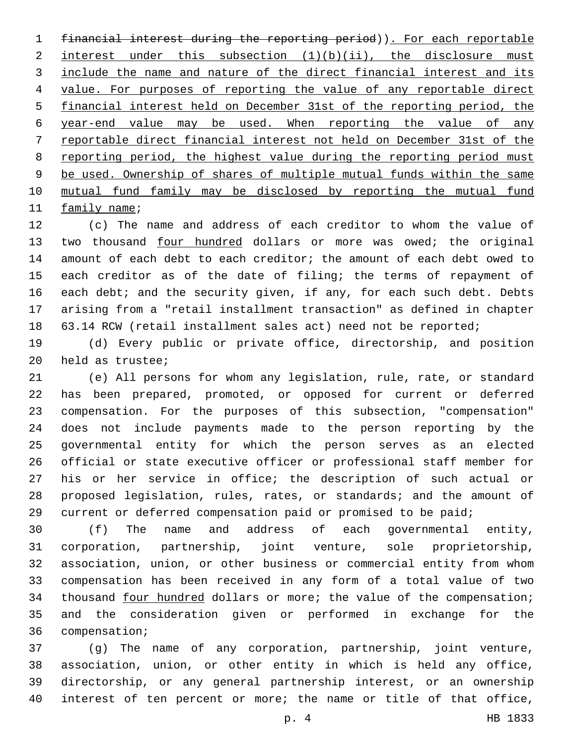financial interest during the reporting period)). For each reportable 2 interest under this subsection  $(1)(b)(ii)$ , the disclosure must include the name and nature of the direct financial interest and its value. For purposes of reporting the value of any reportable direct financial interest held on December 31st of the reporting period, the year-end value may be used. When reporting the value of any reportable direct financial interest not held on December 31st of the reporting period, the highest value during the reporting period must be used. Ownership of shares of multiple mutual funds within the same mutual fund family may be disclosed by reporting the mutual fund 11 family name;

 (c) The name and address of each creditor to whom the value of 13 two thousand four hundred dollars or more was owed; the original amount of each debt to each creditor; the amount of each debt owed to each creditor as of the date of filing; the terms of repayment of 16 each debt; and the security given, if any, for each such debt. Debts arising from a "retail installment transaction" as defined in chapter 63.14 RCW (retail installment sales act) need not be reported;

 (d) Every public or private office, directorship, and position 20 held as trustee;

 (e) All persons for whom any legislation, rule, rate, or standard has been prepared, promoted, or opposed for current or deferred compensation. For the purposes of this subsection, "compensation" does not include payments made to the person reporting by the governmental entity for which the person serves as an elected official or state executive officer or professional staff member for his or her service in office; the description of such actual or proposed legislation, rules, rates, or standards; and the amount of current or deferred compensation paid or promised to be paid;

 (f) The name and address of each governmental entity, corporation, partnership, joint venture, sole proprietorship, association, union, or other business or commercial entity from whom compensation has been received in any form of a total value of two thousand four hundred dollars or more; the value of the compensation; and the consideration given or performed in exchange for the 36 compensation;

 (g) The name of any corporation, partnership, joint venture, association, union, or other entity in which is held any office, directorship, or any general partnership interest, or an ownership interest of ten percent or more; the name or title of that office,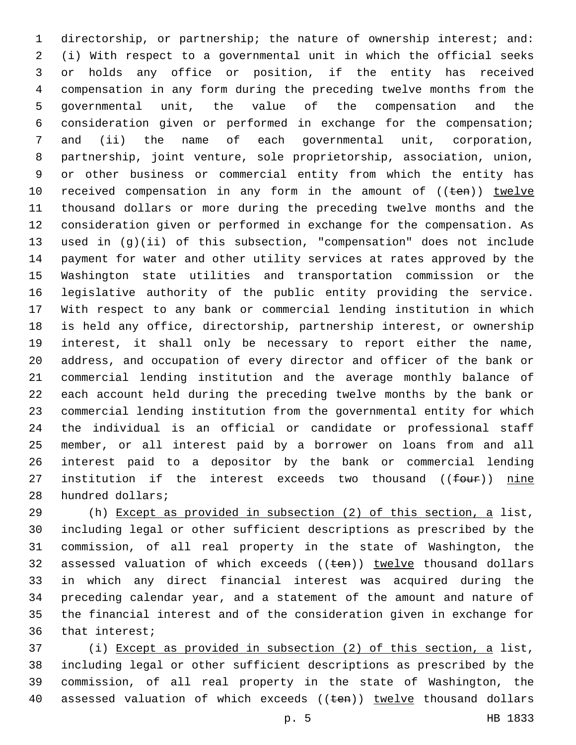directorship, or partnership; the nature of ownership interest; and: (i) With respect to a governmental unit in which the official seeks or holds any office or position, if the entity has received compensation in any form during the preceding twelve months from the governmental unit, the value of the compensation and the consideration given or performed in exchange for the compensation; and (ii) the name of each governmental unit, corporation, partnership, joint venture, sole proprietorship, association, union, or other business or commercial entity from which the entity has 10 received compensation in any form in the amount of ((ten)) twelve thousand dollars or more during the preceding twelve months and the consideration given or performed in exchange for the compensation. As used in (g)(ii) of this subsection, "compensation" does not include payment for water and other utility services at rates approved by the Washington state utilities and transportation commission or the legislative authority of the public entity providing the service. With respect to any bank or commercial lending institution in which is held any office, directorship, partnership interest, or ownership interest, it shall only be necessary to report either the name, address, and occupation of every director and officer of the bank or commercial lending institution and the average monthly balance of each account held during the preceding twelve months by the bank or commercial lending institution from the governmental entity for which the individual is an official or candidate or professional staff member, or all interest paid by a borrower on loans from and all interest paid to a depositor by the bank or commercial lending 27 institution if the interest exceeds two thousand ((four)) nine 28 hundred dollars;

 (h) Except as provided in subsection (2) of this section, a list, including legal or other sufficient descriptions as prescribed by the commission, of all real property in the state of Washington, the 32 assessed valuation of which exceeds ((ten)) twelve thousand dollars in which any direct financial interest was acquired during the preceding calendar year, and a statement of the amount and nature of the financial interest and of the consideration given in exchange for 36 that interest;

 (i) Except as provided in subsection (2) of this section, a list, including legal or other sufficient descriptions as prescribed by the commission, of all real property in the state of Washington, the 40 assessed valuation of which exceeds ((ten)) twelve thousand dollars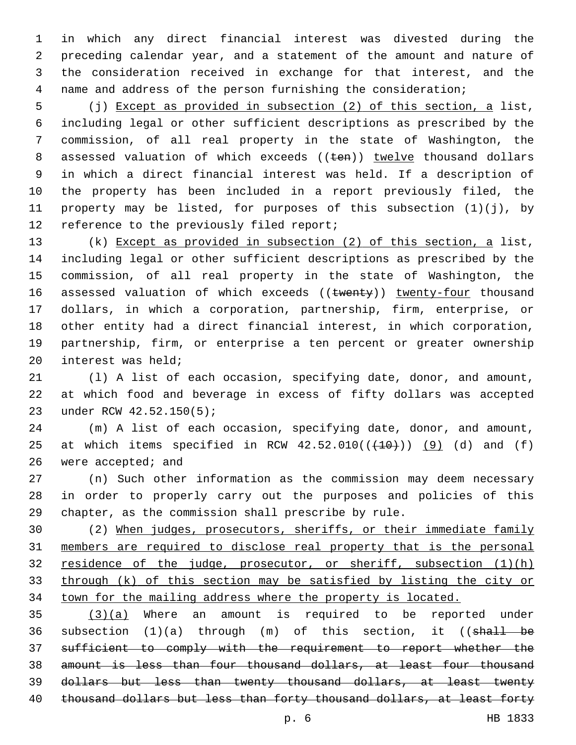in which any direct financial interest was divested during the preceding calendar year, and a statement of the amount and nature of the consideration received in exchange for that interest, and the name and address of the person furnishing the consideration;

 (j) Except as provided in subsection (2) of this section, a list, including legal or other sufficient descriptions as prescribed by the commission, of all real property in the state of Washington, the 8 assessed valuation of which exceeds ((ten)) twelve thousand dollars in which a direct financial interest was held. If a description of the property has been included in a report previously filed, the property may be listed, for purposes of this subsection (1)(j), by 12 reference to the previously filed report;

 (k) Except as provided in subsection (2) of this section, a list, including legal or other sufficient descriptions as prescribed by the commission, of all real property in the state of Washington, the 16 assessed valuation of which exceeds ((twenty)) twenty-four thousand dollars, in which a corporation, partnership, firm, enterprise, or other entity had a direct financial interest, in which corporation, partnership, firm, or enterprise a ten percent or greater ownership interest was held;

 (l) A list of each occasion, specifying date, donor, and amount, at which food and beverage in excess of fifty dollars was accepted 23 under RCW 42.52.150(5);

 (m) A list of each occasion, specifying date, donor, and amount, 25 at which items specified in RCW  $42.52.010((+10+))$   $(9)$  (d) and (f) 26 were accepted; and

 (n) Such other information as the commission may deem necessary in order to properly carry out the purposes and policies of this chapter, as the commission shall prescribe by rule.

 (2) When judges, prosecutors, sheriffs, or their immediate family members are required to disclose real property that is the personal residence of the judge, prosecutor, or sheriff, subsection (1)(h) through (k) of this section may be satisfied by listing the city or town for the mailing address where the property is located.

  $(3)(a)$  Where an amount is required to be reported under 36 subsection  $(1)(a)$  through  $(m)$  of this section, it  $((\text{shell} - \text{be}$  sufficient to comply with the requirement to report whether the amount is less than four thousand dollars, at least four thousand dollars but less than twenty thousand dollars, at least twenty 40 thousand dollars but less than forty thousand dollars, at least forty

p. 6 HB 1833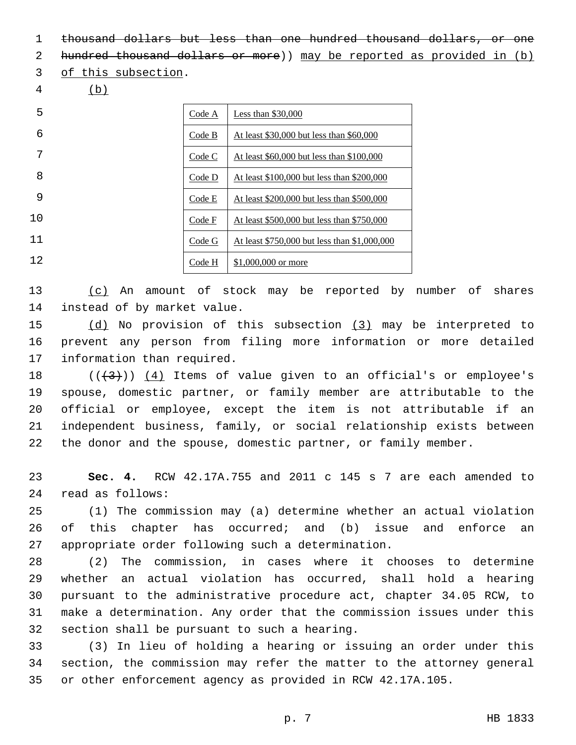thousand dollars but less than one hundred thousand dollars, or one

2 hundred thousand dollars or more)) may be reported as provided in (b)

3 of this subsection.

(b)

| 5  | Code A | Less than $$30,000$                          |
|----|--------|----------------------------------------------|
| 6  | Code B | At least \$30,000 but less than \$60,000     |
| 7  | Code C | At least \$60,000 but less than \$100,000    |
| 8  | Code D | At least \$100,000 but less than \$200,000   |
| 9  | Code E | At least \$200,000 but less than \$500,000   |
| 10 | Code F | At least \$500,000 but less than \$750,000   |
| 11 | Code G | At least \$750,000 but less than \$1,000,000 |
| 12 | Code H | \$1,000,000 or more                          |

 (c) An amount of stock may be reported by number of shares 14 instead of by market value.

 (d) No provision of this subsection (3) may be interpreted to prevent any person from filing more information or more detailed 17 information than required.

 $((+3)^{n})$  (4) Items of value given to an official's or employee's spouse, domestic partner, or family member are attributable to the official or employee, except the item is not attributable if an independent business, family, or social relationship exists between the donor and the spouse, domestic partner, or family member.

 **Sec. 4.** RCW 42.17A.755 and 2011 c 145 s 7 are each amended to read as follows:24

 (1) The commission may (a) determine whether an actual violation of this chapter has occurred; and (b) issue and enforce an 27 appropriate order following such a determination.

 (2) The commission, in cases where it chooses to determine whether an actual violation has occurred, shall hold a hearing pursuant to the administrative procedure act, chapter 34.05 RCW, to make a determination. Any order that the commission issues under this 32 section shall be pursuant to such a hearing.

 (3) In lieu of holding a hearing or issuing an order under this section, the commission may refer the matter to the attorney general or other enforcement agency as provided in RCW 42.17A.105.